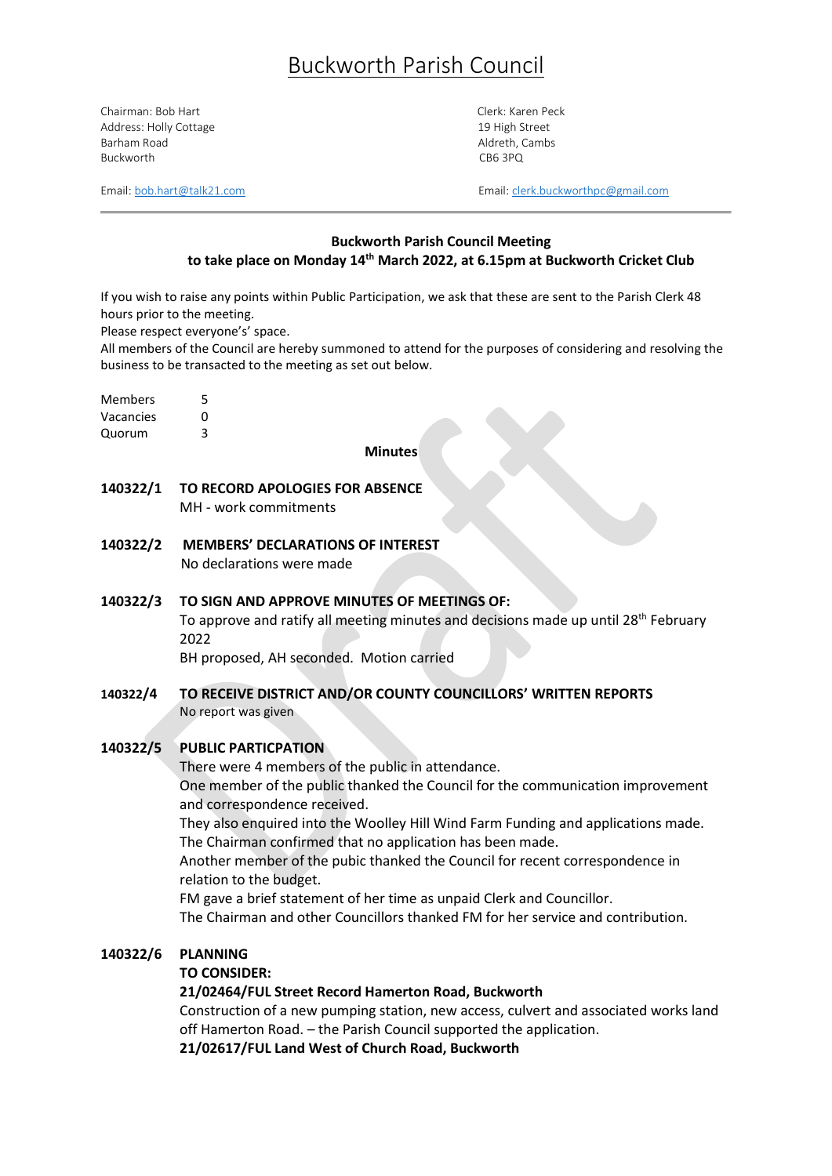# Buckworth Parish Council

Chairman: Bob Hart Chairman: Bob Hart Clerk: Karen Peck Address: Holly Cottage 19 High Street 19 High Street Barham Road **Aldreth, Cambs** Aldreth, Cambs Buckworth CB6 3PQ

Email:  $both art@talk21.com$  Email: [clerk.buckworthpc@gmail.com](mailto:clerk.buckworthpc@gmail.com)</u>

## **Buckworth Parish Council Meeting to take place on Monday 14th March 2022, at 6.15pm at Buckworth Cricket Club**

If you wish to raise any points within Public Participation, we ask that these are sent to the Parish Clerk 48 hours prior to the meeting.

Please respect everyone's' space.

All members of the Council are hereby summoned to attend for the purposes of considering and resolving the business to be transacted to the meeting as set out below.

Members 5

Vacancies 0

Quorum 3

#### **Minutes**

- **140322/1 TO RECORD APOLOGIES FOR ABSENCE**  MH - work commitments
- **140322/2 MEMBERS' DECLARATIONS OF INTEREST** No declarations were made

## **140322/3 TO SIGN AND APPROVE MINUTES OF MEETINGS OF:** To approve and ratify all meeting minutes and decisions made up until 28<sup>th</sup> February 2022

BH proposed, AH seconded. Motion carried

**140322/4 TO RECEIVE DISTRICT AND/OR COUNTY COUNCILLORS' WRITTEN REPORTS** No report was given

## **140322/5 PUBLIC PARTICPATION**

There were 4 members of the public in attendance. One member of the public thanked the Council for the communication improvement and correspondence received.

They also enquired into the Woolley Hill Wind Farm Funding and applications made. The Chairman confirmed that no application has been made.

Another member of the pubic thanked the Council for recent correspondence in relation to the budget.

FM gave a brief statement of her time as unpaid Clerk and Councillor.

The Chairman and other Councillors thanked FM for her service and contribution.

## **140322/6 PLANNING**

**TO CONSIDER:**

## **21/02464/FUL Street Record Hamerton Road, Buckworth**

Construction of a new pumping station, new access, culvert and associated works land off Hamerton Road. – the Parish Council supported the application.

**21/02617/FUL Land West of Church Road, Buckworth**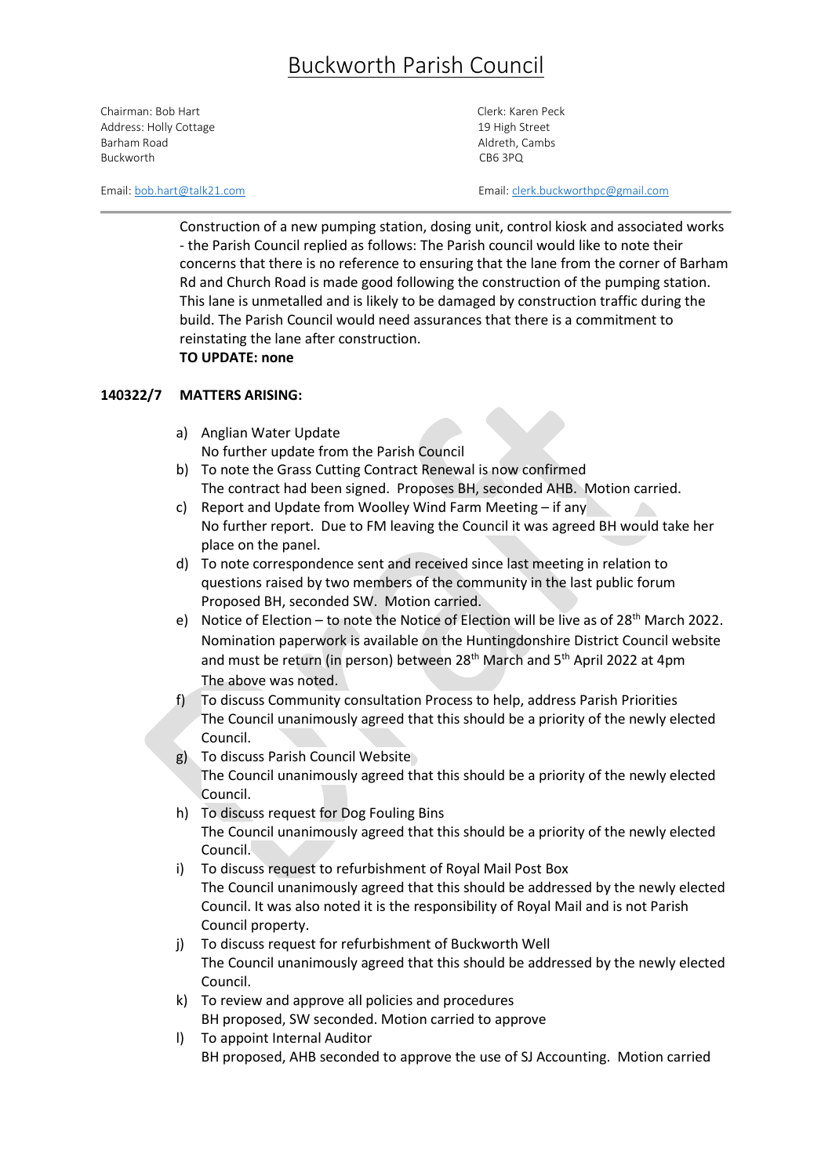# Buckworth Parish Council

Chairman: Bob Hart Chairman: Bob Hart Clerk: Karen Peck Address: Holly Cottage 19 High Street 19 High Street Barham Road **Aldreth, Cambs** Aldreth, Cambs Buckworth CB6 3PQ

Email:  $both art@talk21.com$  Email: [clerk.buckworthpc@gmail.com](mailto:clerk.buckworthpc@gmail.com)</u>

Construction of a new pumping station, dosing unit, control kiosk and associated works - the Parish Council replied as follows: The Parish council would like to note their concerns that there is no reference to ensuring that the lane from the corner of Barham Rd and Church Road is made good following the construction of the pumping station. This lane is unmetalled and is likely to be damaged by construction traffic during the build. The Parish Council would need assurances that there is a commitment to reinstating the lane after construction. **TO UPDATE: none**

## **140322/7 MATTERS ARISING:**

- a) Anglian Water Update No further update from the Parish Council
- b) To note the Grass Cutting Contract Renewal is now confirmed The contract had been signed. Proposes BH, seconded AHB. Motion carried.
- c) Report and Update from Woolley Wind Farm Meeting if any No further report. Due to FM leaving the Council it was agreed BH would take her place on the panel.
- d) To note correspondence sent and received since last meeting in relation to questions raised by two members of the community in the last public forum Proposed BH, seconded SW. Motion carried.
- e) Notice of Election to note the Notice of Election will be live as of  $28<sup>th</sup>$  March 2022. Nomination paperwork is available on the Huntingdonshire District Council website and must be return (in person) between 28<sup>th</sup> March and 5<sup>th</sup> April 2022 at 4pm The above was noted.
- f) To discuss Community consultation Process to help, address Parish Priorities The Council unanimously agreed that this should be a priority of the newly elected Council.
- g) To discuss Parish Council Website The Council unanimously agreed that this should be a priority of the newly elected Council.
- h) To discuss request for Dog Fouling Bins The Council unanimously agreed that this should be a priority of the newly elected Council.
- i) To discuss request to refurbishment of Royal Mail Post Box The Council unanimously agreed that this should be addressed by the newly elected Council. It was also noted it is the responsibility of Royal Mail and is not Parish Council property.
- j) To discuss request for refurbishment of Buckworth Well The Council unanimously agreed that this should be addressed by the newly elected Council.
- k) To review and approve all policies and procedures BH proposed, SW seconded. Motion carried to approve
- l) To appoint Internal Auditor BH proposed, AHB seconded to approve the use of SJ Accounting. Motion carried